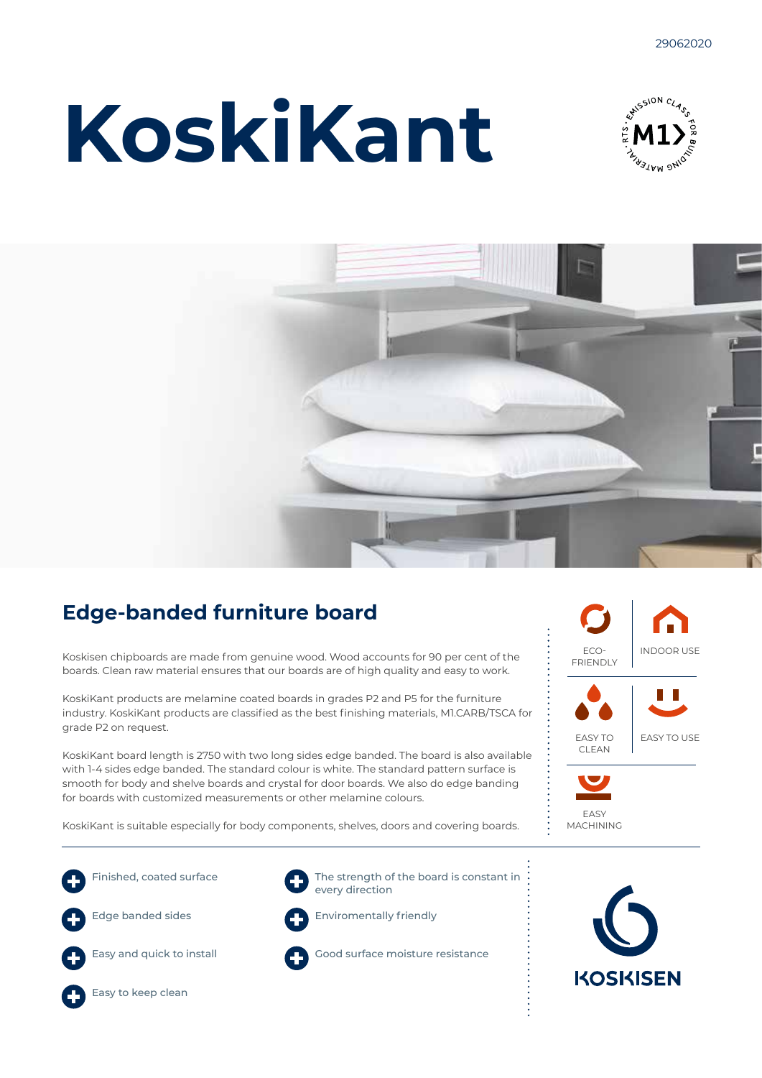# **KoskiKant**





### **Edge-banded furniture board**

Koskisen chipboards are made from genuine wood. Wood accounts for 90 per cent of the boards. Clean raw material ensures that our boards are of high quality and easy to work.

KoskiKant products are melamine coated boards in grades P2 and P5 for the furniture industry. KoskiKant products are classified as the best finishing materials, M1.CARB/TSCA for grade P2 on request.

KoskiKant board length is 2750 with two long sides edge banded. The board is also available with 1-4 sides edge banded. The standard colour is white. The standard pattern surface is smooth for body and shelve boards and crystal for door boards. We also do edge banding for boards with customized measurements or other melamine colours.



KoskiKant is suitable especially for body components, shelves, doors and covering boards.









Enviromentally friendly



Good surface moisture resistance



EASY MACHINING